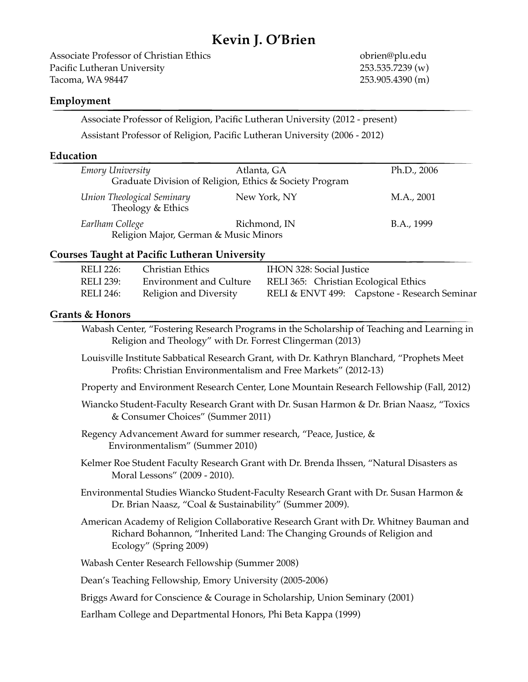# **Kevin J. O'Brien**

Associate Professor of Christian Ethics **8 and 1991** the setting obrien@plu.edu Pacific Lutheran University! ! ! ! ! ! ! 253.535.7239 (w) Tacoma, WA 98447 253.905.4390 (m)

#### **Employment**

Associate Professor of Religion, Pacific Lutheran University (2012 - present) Assistant Professor of Religion, Pacific Lutheran University (2006 - 2012)

#### **Education**

| Emory University                                | Atlanta, GA<br>Graduate Division of Religion, Ethics & Society Program | Ph.D., 2006 |
|-------------------------------------------------|------------------------------------------------------------------------|-------------|
| Union Theological Seminary<br>Theology & Ethics | New York, NY                                                           | M.A., 2001  |
| Earlham College                                 | Richmond, IN<br>Religion Major, German & Music Minors                  | B.A., 1999  |

#### **Courses Taught at Pacific Lutheran University**

| <b>RELI 226:</b> | Christian Ethics               | <b>IHON 328: Social Justice</b>              |
|------------------|--------------------------------|----------------------------------------------|
| RELI 239:        | <b>Environment and Culture</b> | RELI 365: Christian Ecological Ethics        |
| RELI 246:        | Religion and Diversity         | RELI & ENVT 499: Capstone - Research Seminar |

#### **Grants & Honors**

 Wabash Center, "Fostering Research Programs in the Scholarship of Teaching and Learning in Religion and Theology" with Dr. Forrest Clingerman (2013) Louisville Institute Sabbatical Research Grant, with Dr. Kathryn Blanchard, "Prophets Meet Profits: Christian Environmentalism and Free Markets" (2012-13) Property and Environment Research Center, Lone Mountain Research Fellowship (Fall, 2012) Wiancko Student-Faculty Research Grant with Dr. Susan Harmon & Dr. Brian Naasz, "Toxics & Consumer Choices" (Summer 2011) Regency Advancement Award for summer research, "Peace, Justice, & **Environmentalism"** (Summer 2010) Kelmer Roe Student Faculty Research Grant with Dr. Brenda Ihssen, "Natural Disasters as Moral Lessons" (2009 - 2010). Environmental Studies Wiancko Student-Faculty Research Grant with Dr. Susan Harmon & Dr. Brian Naasz, "Coal & Sustainability" (Summer 2009). American Academy of Religion Collaborative Research Grant with Dr. Whitney Bauman and Richard Bohannon, "Inherited Land: The Changing Grounds of Religion and Ecology" (Spring 2009) Wabash Center Research Fellowship (Summer 2008) Dean's Teaching Fellowship, Emory University (2005-2006) Briggs Award for Conscience & Courage in Scholarship, Union Seminary (2001) Earlham College and Departmental Honors, Phi Beta Kappa (1999)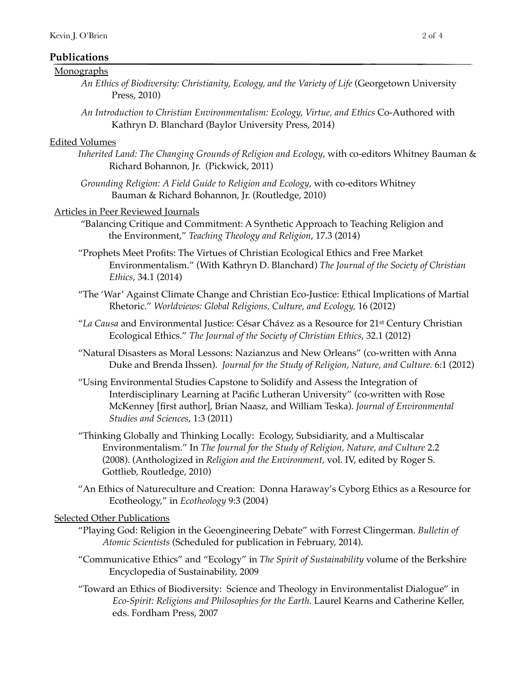# **Publications**

#### Monographs

- *An Ethics of Biodiversity: Christianity, Ecology, and the Variety of Life* (Georgetown University Press, 2010)
- *An Introduction to Christian Environmentalism: Ecology, Virtue, and Ethics* Co-Authored with Kathryn D. Blanchard (Baylor University Press, 2014)

#### Edited Volumes

- *Inherited Land: The Changing Grounds of Religion and Ecology*, with co-editors Whitney Bauman & Richard Bohannon, Jr. (Pickwick, 2011)
- *Grounding Religion: A Field Guide to Religion and Ecology*, with co-editors Whitney Bauman & Richard Bohannon, Jr. (Routledge, 2010)

#### Articles in Peer Reviewed Journals

- "Balancing Critique and Commitment: A Synthetic Approach to Teaching Religion and the Environment," *Teaching Theology and Religion*, 17.3 (2014)
- "Prophets Meet Profits: The Virtues of Christian Ecological Ethics and Free Market Environmentalism." (With Kathryn D. Blanchard) *The Journal of the Society of Christian Ethics*, 34.1 (2014)
- "The 'War' Against Climate Change and Christian Eco-Justice: Ethical Implications of Martial Rhetoric." *Worldviews: Global Religions, Culture, and Ecology,* 16 (2012)
- "*La Causa* and Environmental Justice: César Chávez as a Resource for 21st Century Christian Ecological Ethics." *The Journal of the Society of Christian Ethics*, 32.1 (2012)
- "Natural Disasters as Moral Lessons: Nazianzus and New Orleans" (co-written with Anna Duke and Brenda Ihssen). *Journal for the Study of Religion, Nature, and Culture.* 6:1 (2012)
- "Using Environmental Studies Capstone to Solidify and Assess the Integration of Interdisciplinary Learning at Pacific Lutheran University" (co-written with Rose McKenney [first author], Brian Naasz, and William Teska). *Journal of Environmental Studies and Sciences*, 1:3 (2011)
- "Thinking Globally and Thinking Locally: Ecology, Subsidiarity, and a Multiscalar Environmentalism." In *The Journal for the Study of Religion, Nature, and Culture* 2.2 (2008). (Anthologized in *Religion and the Environment,* vol. IV, edited by Roger S. Gottlieb, Routledge, 2010)
- "An Ethics of Natureculture and Creation: Donna Haraway's Cyborg Ethics as a Resource for Ecotheology," in *Ecotheology* 9:3 (2004)

# Selected Other Publications

- "Playing God: Religion in the Geoengineering Debate" with Forrest Clingerman. *Bulletin of Atomic Scientists* (Scheduled for publication in February, 2014).
- "Communicative Ethics" and "Ecology" in *The Spirit of Sustainability* volume of the Berkshire Encyclopedia of Sustainability, 2009
- "Toward an Ethics of Biodiversity: Science and Theology in Environmentalist Dialogue" in *Eco-Spirit: Religions and Philosophies for the Earth.* Laurel Kearns and Catherine Keller, eds. Fordham Press, 2007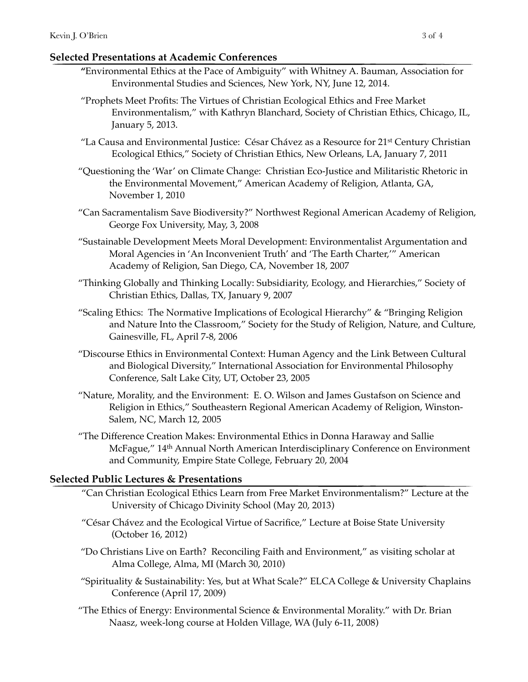# **Selected Presentations at Academic Conferences**

- **"**Environmental Ethics at the Pace of Ambiguity" with Whitney A. Bauman, Association for Environmental Studies and Sciences, New York, NY, June 12, 2014.
- "Prophets Meet Profits: The Virtues of Christian Ecological Ethics and Free Market Environmentalism," with Kathryn Blanchard, Society of Christian Ethics, Chicago, IL, January 5, 2013.
- "La Causa and Environmental Justice: César Chávez as a Resource for 21st Century Christian Ecological Ethics," Society of Christian Ethics, New Orleans, LA, January 7, 2011
- "Questioning the 'War' on Climate Change: Christian Eco-Justice and Militaristic Rhetoric in the Environmental Movement," American Academy of Religion, Atlanta, GA, November 1, 2010
- "Can Sacramentalism Save Biodiversity?" Northwest Regional American Academy of Religion, George Fox University, May, 3, 2008
- "Sustainable Development Meets Moral Development: Environmentalist Argumentation and Moral Agencies in 'An Inconvenient Truth' and 'The Earth Charter,'" American Academy of Religion, San Diego, CA, November 18, 2007
- "Thinking Globally and Thinking Locally: Subsidiarity, Ecology, and Hierarchies," Society of Christian Ethics, Dallas, TX, January 9, 2007
- "Scaling Ethics: The Normative Implications of Ecological Hierarchy" & "Bringing Religion and Nature Into the Classroom," Society for the Study of Religion, Nature, and Culture, Gainesville, FL, April 7-8, 2006
- "Discourse Ethics in Environmental Context: Human Agency and the Link Between Cultural and Biological Diversity," International Association for Environmental Philosophy Conference, Salt Lake City, UT, October 23, 2005
- "Nature, Morality, and the Environment: E. O. Wilson and James Gustafson on Science and Religion in Ethics," Southeastern Regional American Academy of Religion, Winston-Salem, NC, March 12, 2005
- "The Difference Creation Makes: Environmental Ethics in Donna Haraway and Sallie McFague," 14th Annual North American Interdisciplinary Conference on Environment and Community, Empire State College, February 20, 2004

# **Selected Public Lectures & Presentations**

- "Can Christian Ecological Ethics Learn from Free Market Environmentalism?" Lecture at the University of Chicago Divinity School (May 20, 2013)
- "César Chávez and the Ecological Virtue of Sacrifice," Lecture at Boise State University (October 16, 2012)
- "Do Christians Live on Earth? Reconciling Faith and Environment," as visiting scholar at Alma College, Alma, MI (March 30, 2010)
- "Spirituality & Sustainability: Yes, but at What Scale?" ELCA College & University Chaplains Conference (April 17, 2009)
- "The Ethics of Energy: Environmental Science & Environmental Morality." with Dr. Brian Naasz, week-long course at Holden Village, WA (July 6-11, 2008)